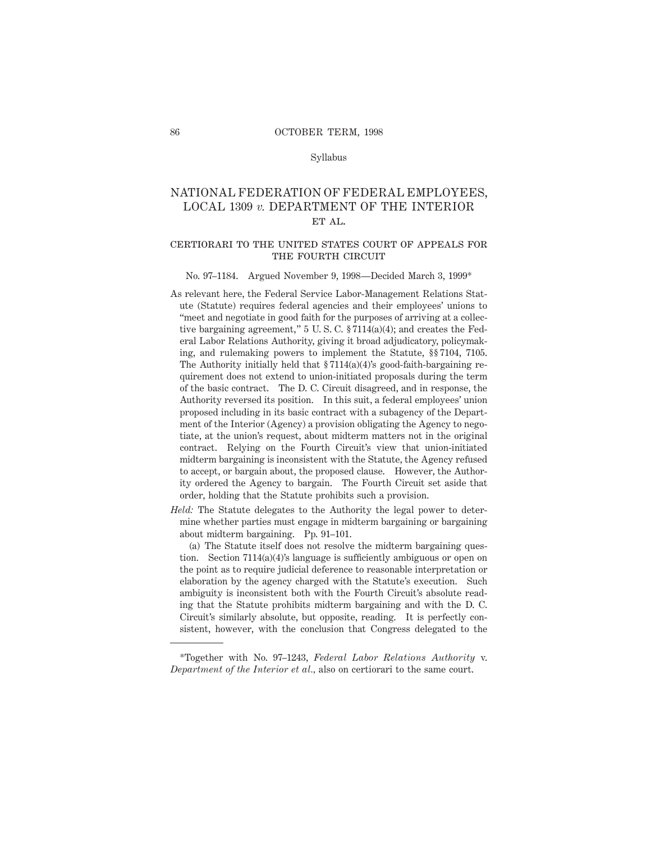#### Syllabus

# NATIONAL FEDERATION OF FEDERAL EMPLOYEES, LOCAL 1309 *v.* DEPARTMENT OF THE INTERIOR et al.

### certiorari to the united states court of appeals forTHE FOURTH CIRCUIT

### No. 97–1184. Argued November 9, 1998—Decided March 3, 1999\*

- As relevant here, the Federal Service Labor-Management Relations Statute (Statute) requires federal agencies and their employees' unions to "meet and negotiate in good faith for the purposes of arriving at a collective bargaining agreement," 5 U. S. C. § 7114(a)(4); and creates the Federal Labor Relations Authority, giving it broad adjudicatory, policymaking, and rulemaking powers to implement the Statute, §§ 7104, 7105. The Authority initially held that  $\S 7114(a)(4)$ 's good-faith-bargaining requirement does not extend to union-initiated proposals during the term of the basic contract. The D. C. Circuit disagreed, and in response, the Authority reversed its position. In this suit, a federal employees' union proposed including in its basic contract with a subagency of the Department of the Interior (Agency) a provision obligating the Agency to negotiate, at the union's request, about midterm matters not in the original contract. Relying on the Fourth Circuit's view that union-initiated midterm bargaining is inconsistent with the Statute, the Agency refused to accept, or bargain about, the proposed clause. However, the Authority ordered the Agency to bargain. The Fourth Circuit set aside that order, holding that the Statute prohibits such a provision.
- *Held:* The Statute delegates to the Authority the legal power to determine whether parties must engage in midterm bargaining or bargaining about midterm bargaining. Pp. 91–101.

(a) The Statute itself does not resolve the midterm bargaining question. Section 7114(a)(4)'s language is sufficiently ambiguous or open on the point as to require judicial deference to reasonable interpretation or elaboration by the agency charged with the Statute's execution. Such ambiguity is inconsistent both with the Fourth Circuit's absolute reading that the Statute prohibits midterm bargaining and with the D. C. Circuit's similarly absolute, but opposite, reading. It is perfectly consistent, however, with the conclusion that Congress delegated to the

<sup>\*</sup>Together with No. 97–1243, *Federal Labor Relations Authority* v. *Department of the Interior et al.,* also on certiorari to the same court.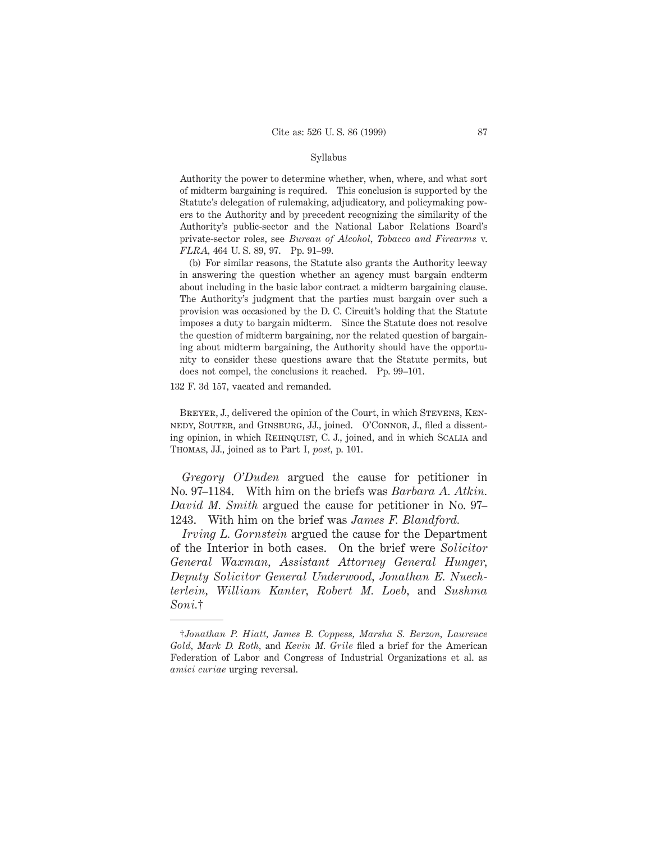#### Syllabus

Authority the power to determine whether, when, where, and what sort of midterm bargaining is required. This conclusion is supported by the Statute's delegation of rulemaking, adjudicatory, and policymaking powers to the Authority and by precedent recognizing the similarity of the Authority's public-sector and the National Labor Relations Board's private-sector roles, see *Bureau of Alcohol, Tobacco and Firearms* v. *FLRA,* 464 U. S. 89, 97. Pp. 91–99.

(b) For similar reasons, the Statute also grants the Authority leeway in answering the question whether an agency must bargain endterm about including in the basic labor contract a midterm bargaining clause. The Authority's judgment that the parties must bargain over such a provision was occasioned by the D. C. Circuit's holding that the Statute imposes a duty to bargain midterm. Since the Statute does not resolve the question of midterm bargaining, nor the related question of bargaining about midterm bargaining, the Authority should have the opportunity to consider these questions aware that the Statute permits, but does not compel, the conclusions it reached. Pp. 99–101.

132 F. 3d 157, vacated and remanded.

BREYER, J., delivered the opinion of the Court, in which STEVENS, KENnedy, Souter, and Ginsburg, JJ., joined. O'Connor, J., filed a dissenting opinion, in which REHNQUIST, C. J., joined, and in which SCALIA and Thomas, JJ., joined as to Part I, *post,* p. 101.

*Gregory O'Duden* argued the cause for petitioner in No. 97–1184. With him on the briefs was *Barbara A. Atkin. David M. Smith* argued the cause for petitioner in No. 97– 1243. With him on the brief was *James F. Blandford.*

*Irving L. Gornstein* argued the cause for the Department of the Interior in both cases. On the brief were *Solicitor General Waxman, Assistant Attorney General Hunger, Deputy Solicitor General Underwood, Jonathan E. Nuechterlein, William Kanter, Robert M. Loeb,* and *Sushma Soni.*†

<sup>†</sup>*Jonathan P. Hiatt, James B. Coppess, Marsha S. Berzon, Laurence Gold, Mark D. Roth,* and *Kevin M. Grile* filed a brief for the American Federation of Labor and Congress of Industrial Organizations et al. as *amici curiae* urging reversal.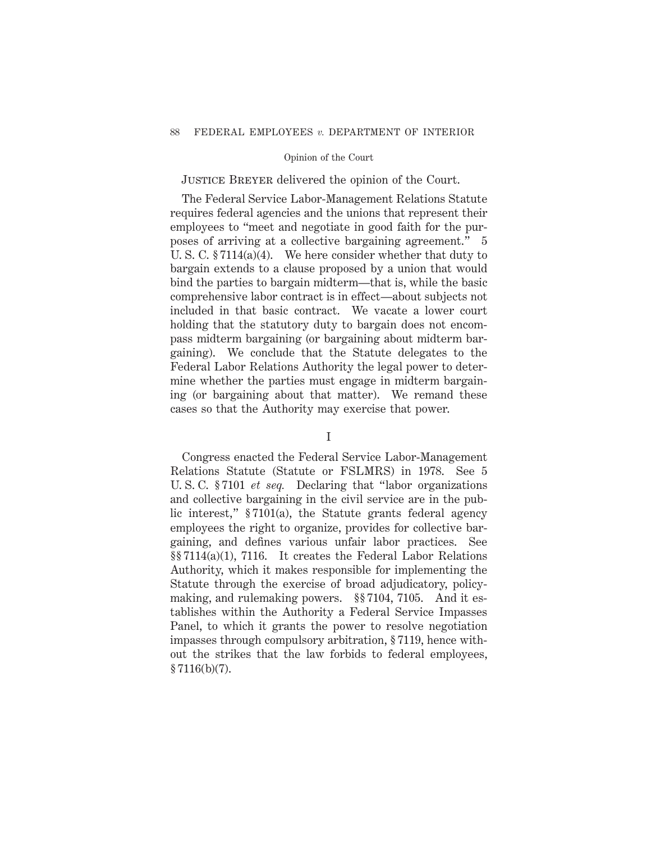# Justice Breyer delivered the opinion of the Court.

The Federal Service Labor-Management Relations Statute requires federal agencies and the unions that represent their employees to "meet and negotiate in good faith for the purposes of arriving at a collective bargaining agreement." 5 U. S. C. § 7114(a)(4). We here consider whether that duty to bargain extends to a clause proposed by a union that would bind the parties to bargain midterm—that is, while the basic comprehensive labor contract is in effect—about subjects not included in that basic contract. We vacate a lower court holding that the statutory duty to bargain does not encompass midterm bargaining (or bargaining about midterm bargaining). We conclude that the Statute delegates to the Federal Labor Relations Authority the legal power to determine whether the parties must engage in midterm bargaining (or bargaining about that matter). We remand these cases so that the Authority may exercise that power.

### I

Congress enacted the Federal Service Labor-Management Relations Statute (Statute or FSLMRS) in 1978. See 5 U. S. C. § 7101 *et seq.* Declaring that "labor organizations and collective bargaining in the civil service are in the public interest," § 7101(a), the Statute grants federal agency employees the right to organize, provides for collective bargaining, and defines various unfair labor practices. See §§ 7114(a)(1), 7116. It creates the Federal Labor Relations Authority, which it makes responsible for implementing the Statute through the exercise of broad adjudicatory, policymaking, and rulemaking powers. §§ 7104, 7105. And it establishes within the Authority a Federal Service Impasses Panel, to which it grants the power to resolve negotiation impasses through compulsory arbitration, § 7119, hence without the strikes that the law forbids to federal employees, § 7116(b)(7).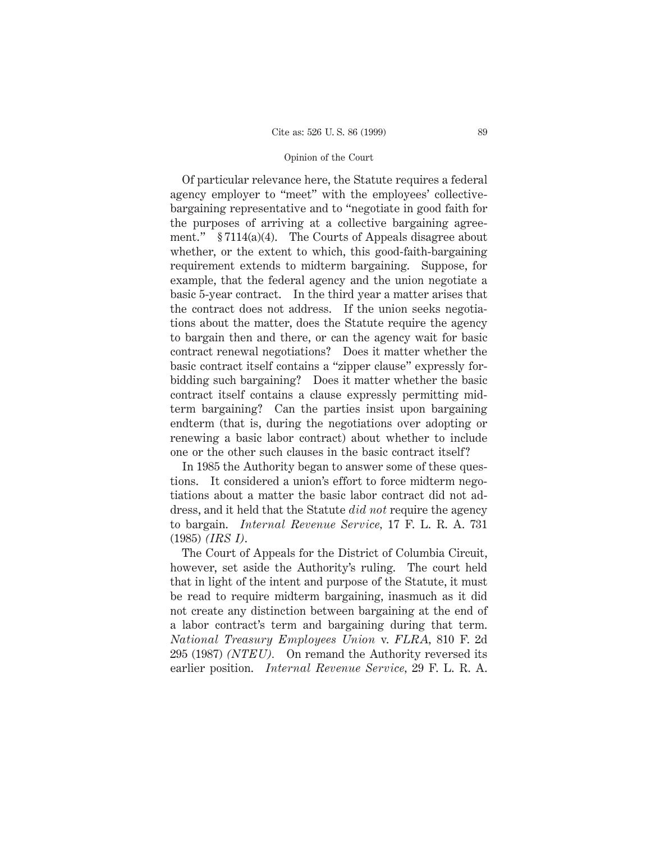Of particular relevance here, the Statute requires a federal agency employer to "meet" with the employees' collectivebargaining representative and to "negotiate in good faith for the purposes of arriving at a collective bargaining agreement." § 7114(a)(4). The Courts of Appeals disagree about whether, or the extent to which, this good-faith-bargaining requirement extends to midterm bargaining. Suppose, for example, that the federal agency and the union negotiate a basic 5-year contract. In the third year a matter arises that the contract does not address. If the union seeks negotiations about the matter, does the Statute require the agency to bargain then and there, or can the agency wait for basic contract renewal negotiations? Does it matter whether the basic contract itself contains a "zipper clause" expressly forbidding such bargaining? Does it matter whether the basic contract itself contains a clause expressly permitting midterm bargaining? Can the parties insist upon bargaining endterm (that is, during the negotiations over adopting or renewing a basic labor contract) about whether to include one or the other such clauses in the basic contract itself?

In 1985 the Authority began to answer some of these questions. It considered a union's effort to force midterm negotiations about a matter the basic labor contract did not address, and it held that the Statute *did not* require the agency to bargain. *Internal Revenue Service,* 17 F. L. R. A. 731 (1985) *(IRS I)*.

The Court of Appeals for the District of Columbia Circuit, however, set aside the Authority's ruling. The court held that in light of the intent and purpose of the Statute, it must be read to require midterm bargaining, inasmuch as it did not create any distinction between bargaining at the end of a labor contract's term and bargaining during that term. *National Treasury Employees Union* v. *FLRA,* 810 F. 2d 295 (1987) *(NTEU).* On remand the Authority reversed its earlier position. *Internal Revenue Service,* 29 F. L. R. A.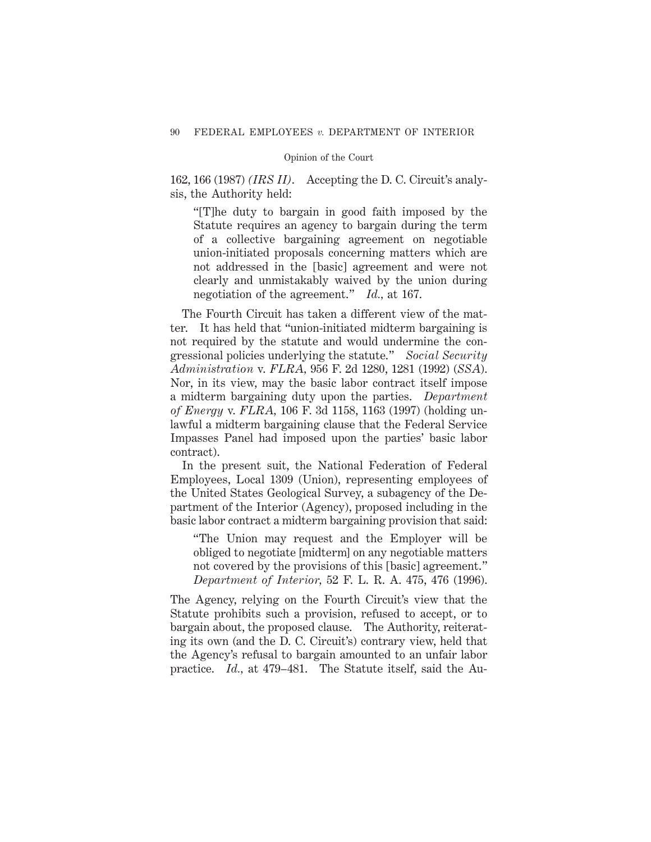162, 166 (1987) *(IRS II)*. Accepting the D. C. Circuit's analysis, the Authority held:

"[T]he duty to bargain in good faith imposed by the Statute requires an agency to bargain during the term of a collective bargaining agreement on negotiable union-initiated proposals concerning matters which are not addressed in the [basic] agreement and were not clearly and unmistakably waived by the union during negotiation of the agreement." *Id.,* at 167.

The Fourth Circuit has taken a different view of the matter. It has held that "union-initiated midterm bargaining is not required by the statute and would undermine the congressional policies underlying the statute." *Social Security Administration* v. *FLRA,* 956 F. 2d 1280, 1281 (1992) (*SSA*). Nor, in its view, may the basic labor contract itself impose a midterm bargaining duty upon the parties. *Department of Energy* v. *FLRA,* 106 F. 3d 1158, 1163 (1997) (holding unlawful a midterm bargaining clause that the Federal Service Impasses Panel had imposed upon the parties' basic labor contract).

In the present suit, the National Federation of Federal Employees, Local 1309 (Union), representing employees of the United States Geological Survey, a subagency of the Department of the Interior (Agency), proposed including in the basic labor contract a midterm bargaining provision that said:

"The Union may request and the Employer will be obliged to negotiate [midterm] on any negotiable matters not covered by the provisions of this [basic] agreement." *Department of Interior,* 52 F. L. R. A. 475, 476 (1996).

The Agency, relying on the Fourth Circuit's view that the Statute prohibits such a provision, refused to accept, or to bargain about, the proposed clause. The Authority, reiterating its own (and the D. C. Circuit's) contrary view, held that the Agency's refusal to bargain amounted to an unfair labor practice. *Id.,* at 479–481. The Statute itself, said the Au-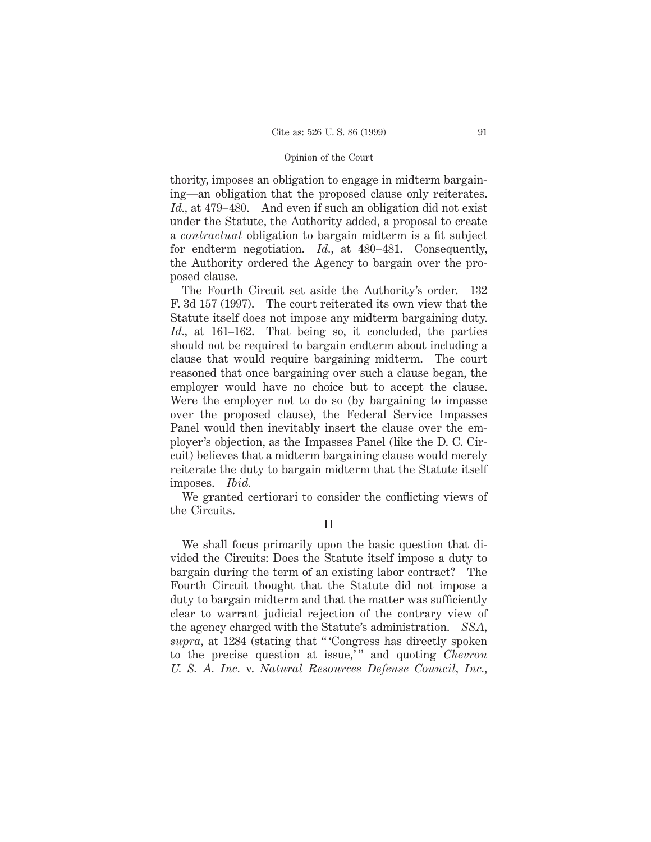thority, imposes an obligation to engage in midterm bargaining—an obligation that the proposed clause only reiterates. *Id.,* at 479–480. And even if such an obligation did not exist under the Statute, the Authority added, a proposal to create a *contractual* obligation to bargain midterm is a fit subject for endterm negotiation. *Id.,* at 480–481. Consequently, the Authority ordered the Agency to bargain over the proposed clause.

The Fourth Circuit set aside the Authority's order. 132 F. 3d 157 (1997). The court reiterated its own view that the Statute itself does not impose any midterm bargaining duty. *Id.,* at 161–162. That being so, it concluded, the parties should not be required to bargain endterm about including a clause that would require bargaining midterm. The court reasoned that once bargaining over such a clause began, the employer would have no choice but to accept the clause. Were the employer not to do so (by bargaining to impasse over the proposed clause), the Federal Service Impasses Panel would then inevitably insert the clause over the employer's objection, as the Impasses Panel (like the D. C. Circuit) believes that a midterm bargaining clause would merely reiterate the duty to bargain midterm that the Statute itself imposes. *Ibid.*

We granted certiorari to consider the conflicting views of the Circuits.

We shall focus primarily upon the basic question that divided the Circuits: Does the Statute itself impose a duty to bargain during the term of an existing labor contract? The Fourth Circuit thought that the Statute did not impose a duty to bargain midterm and that the matter was sufficiently clear to warrant judicial rejection of the contrary view of the agency charged with the Statute's administration. *SSA, supra,* at 1284 (stating that " 'Congress has directly spoken to the precise question at issue," and quoting *Chevron U. S. A. Inc.* v. *Natural Resources Defense Council, Inc.,*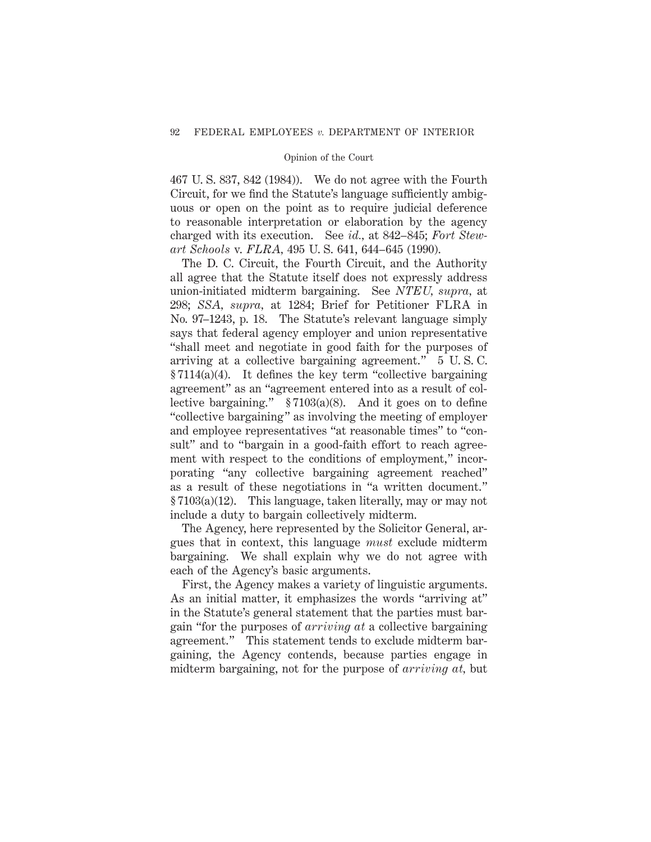467 U. S. 837, 842 (1984)). We do not agree with the Fourth Circuit, for we find the Statute's language sufficiently ambiguous or open on the point as to require judicial deference to reasonable interpretation or elaboration by the agency charged with its execution. See *id.,* at 842–845; *Fort Stewart Schools* v. *FLRA,* 495 U. S. 641, 644–645 (1990).

The D. C. Circuit, the Fourth Circuit, and the Authority all agree that the Statute itself does not expressly address union-initiated midterm bargaining. See *NTEU, supra,* at 298; *SSA, supra,* at 1284; Brief for Petitioner FLRA in No. 97–1243, p. 18. The Statute's relevant language simply says that federal agency employer and union representative "shall meet and negotiate in good faith for the purposes of arriving at a collective bargaining agreement." 5 U. S. C.  $§ 7114(a)(4)$ . It defines the key term "collective bargaining" agreement" as an "agreement entered into as a result of collective bargaining." § 7103(a)(8). And it goes on to define "collective bargaining" as involving the meeting of employer and employee representatives "at reasonable times" to "consult" and to "bargain in a good-faith effort to reach agreement with respect to the conditions of employment," incorporating "any collective bargaining agreement reached" as a result of these negotiations in "a written document." § 7103(a)(12). This language, taken literally, may or may not include a duty to bargain collectively midterm.

The Agency, here represented by the Solicitor General, argues that in context, this language *must* exclude midterm bargaining. We shall explain why we do not agree with each of the Agency's basic arguments.

First, the Agency makes a variety of linguistic arguments. As an initial matter, it emphasizes the words "arriving at" in the Statute's general statement that the parties must bargain "for the purposes of *arriving at* a collective bargaining agreement." This statement tends to exclude midterm bargaining, the Agency contends, because parties engage in midterm bargaining, not for the purpose of *arriving at,* but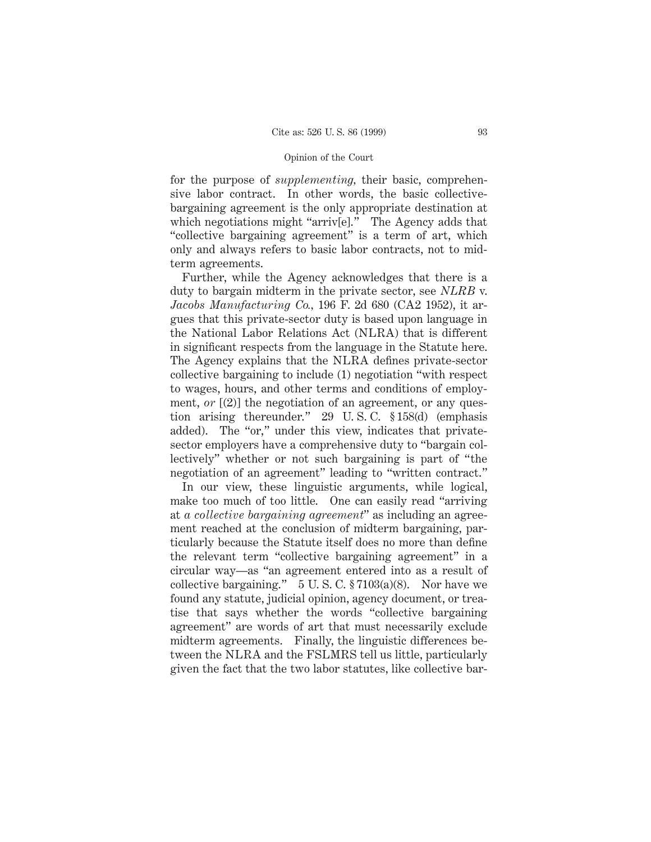for the purpose of *supplementing,* their basic, comprehensive labor contract. In other words, the basic collectivebargaining agreement is the only appropriate destination at which negotiations might "arriv[e]." The Agency adds that "collective bargaining agreement" is a term of art, which only and always refers to basic labor contracts, not to midterm agreements.

Further, while the Agency acknowledges that there is a duty to bargain midterm in the private sector, see *NLRB* v. *Jacobs Manufacturing Co.,* 196 F. 2d 680 (CA2 1952), it argues that this private-sector duty is based upon language in the National Labor Relations Act (NLRA) that is different in significant respects from the language in the Statute here. The Agency explains that the NLRA defines private-sector collective bargaining to include (1) negotiation "with respect to wages, hours, and other terms and conditions of employment, *or* [(2)] the negotiation of an agreement, or any question arising thereunder." 29 U. S. C. § 158(d) (emphasis added). The "or," under this view, indicates that privatesector employers have a comprehensive duty to "bargain collectively" whether or not such bargaining is part of "the negotiation of an agreement" leading to "written contract."

In our view, these linguistic arguments, while logical, make too much of too little. One can easily read "arriving at *a collective bargaining agreement*" as including an agreement reached at the conclusion of midterm bargaining, particularly because the Statute itself does no more than define the relevant term "collective bargaining agreement" in a circular way—as "an agreement entered into as a result of collective bargaining."  $5 \text{ U.S. C. } $7103(a)(8)$ . Nor have we found any statute, judicial opinion, agency document, or treatise that says whether the words "collective bargaining agreement" are words of art that must necessarily exclude midterm agreements. Finally, the linguistic differences between the NLRA and the FSLMRS tell us little, particularly given the fact that the two labor statutes, like collective bar-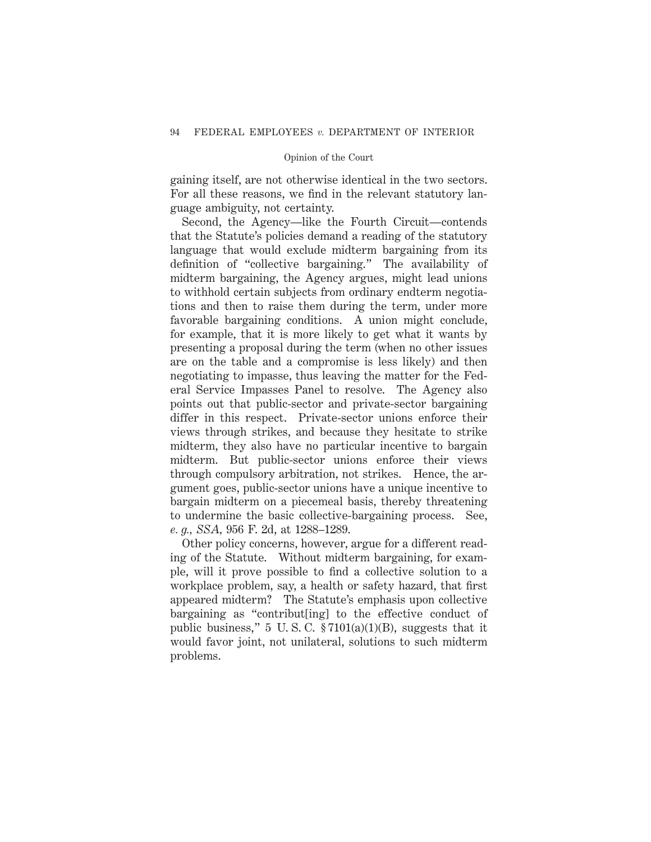gaining itself, are not otherwise identical in the two sectors. For all these reasons, we find in the relevant statutory language ambiguity, not certainty.

Second, the Agency—like the Fourth Circuit—contends that the Statute's policies demand a reading of the statutory language that would exclude midterm bargaining from its definition of "collective bargaining." The availability of midterm bargaining, the Agency argues, might lead unions to withhold certain subjects from ordinary endterm negotiations and then to raise them during the term, under more favorable bargaining conditions. A union might conclude, for example, that it is more likely to get what it wants by presenting a proposal during the term (when no other issues are on the table and a compromise is less likely) and then negotiating to impasse, thus leaving the matter for the Federal Service Impasses Panel to resolve. The Agency also points out that public-sector and private-sector bargaining differ in this respect. Private-sector unions enforce their views through strikes, and because they hesitate to strike midterm, they also have no particular incentive to bargain midterm. But public-sector unions enforce their views through compulsory arbitration, not strikes. Hence, the argument goes, public-sector unions have a unique incentive to bargain midterm on a piecemeal basis, thereby threatening to undermine the basic collective-bargaining process. See, *e. g., SSA,* 956 F. 2d, at 1288–1289.

Other policy concerns, however, argue for a different reading of the Statute. Without midterm bargaining, for example, will it prove possible to find a collective solution to a workplace problem, say, a health or safety hazard, that first appeared midterm? The Statute's emphasis upon collective bargaining as "contribut[ing] to the effective conduct of public business," 5 U.S.C.  $\frac{27101(a)(1)(B)}{B}$ , suggests that it would favor joint, not unilateral, solutions to such midterm problems.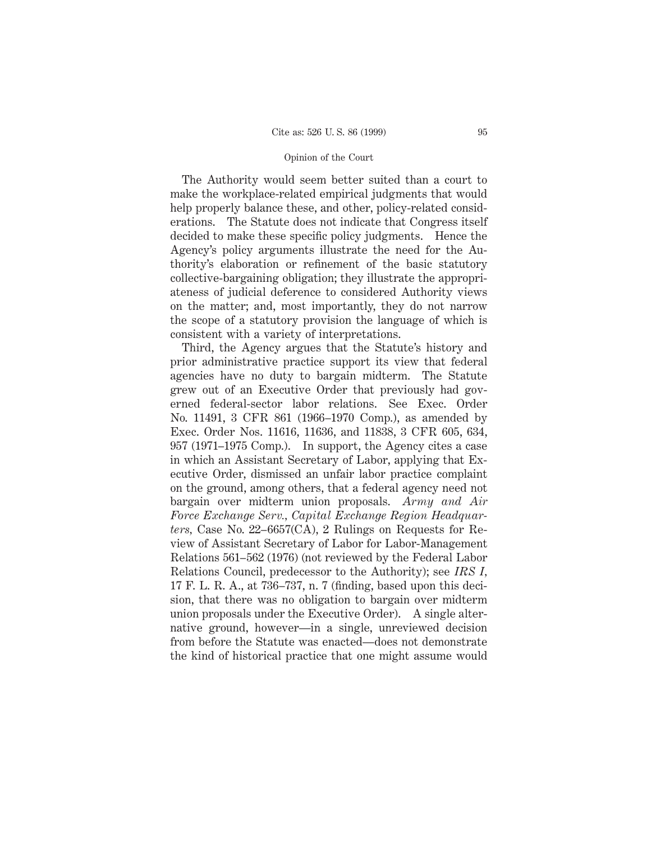The Authority would seem better suited than a court to make the workplace-related empirical judgments that would help properly balance these, and other, policy-related considerations. The Statute does not indicate that Congress itself decided to make these specific policy judgments. Hence the Agency's policy arguments illustrate the need for the Authority's elaboration or refinement of the basic statutory collective-bargaining obligation; they illustrate the appropriateness of judicial deference to considered Authority views on the matter; and, most importantly, they do not narrow the scope of a statutory provision the language of which is consistent with a variety of interpretations.

Third, the Agency argues that the Statute's history and prior administrative practice support its view that federal agencies have no duty to bargain midterm. The Statute grew out of an Executive Order that previously had governed federal-sector labor relations. See Exec. Order No. 11491, 3 CFR 861 (1966–1970 Comp.), as amended by Exec. Order Nos. 11616, 11636, and 11838, 3 CFR 605, 634, 957 (1971–1975 Comp.). In support, the Agency cites a case in which an Assistant Secretary of Labor, applying that Executive Order, dismissed an unfair labor practice complaint on the ground, among others, that a federal agency need not bargain over midterm union proposals. *Army and Air Force Exchange Serv., Capital Exchange Region Headquarters,* Case No. 22–6657(CA), 2 Rulings on Requests for Review of Assistant Secretary of Labor for Labor-Management Relations 561–562 (1976) (not reviewed by the Federal Labor Relations Council, predecessor to the Authority); see *IRS I,* 17 F. L. R. A., at 736–737, n. 7 (finding, based upon this decision, that there was no obligation to bargain over midterm union proposals under the Executive Order). A single alternative ground, however—in a single, unreviewed decision from before the Statute was enacted—does not demonstrate the kind of historical practice that one might assume would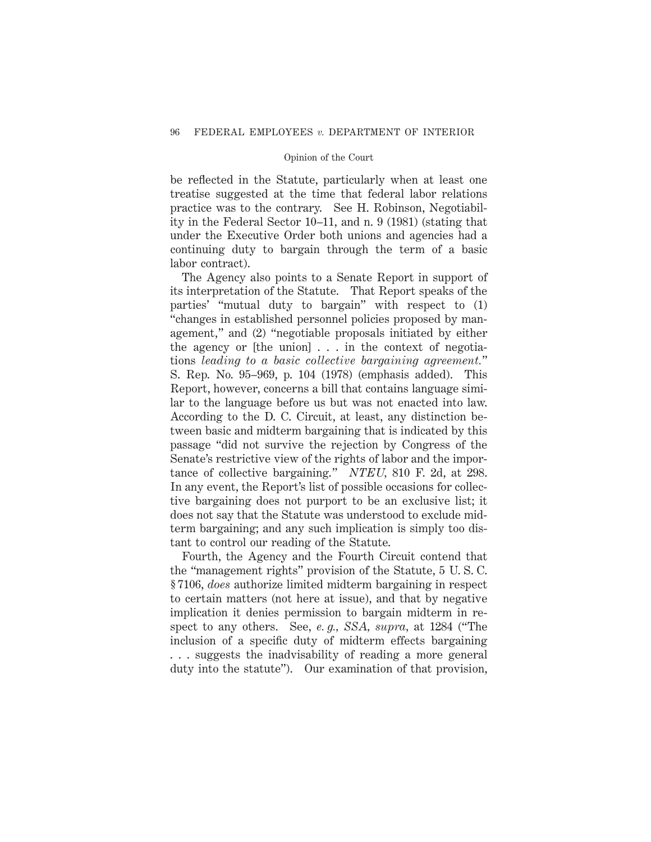be reflected in the Statute, particularly when at least one treatise suggested at the time that federal labor relations practice was to the contrary. See H. Robinson, Negotiability in the Federal Sector 10–11, and n. 9 (1981) (stating that under the Executive Order both unions and agencies had a continuing duty to bargain through the term of a basic labor contract).

The Agency also points to a Senate Report in support of its interpretation of the Statute. That Report speaks of the parties' "mutual duty to bargain" with respect to (1) "changes in established personnel policies proposed by management," and (2) "negotiable proposals initiated by either the agency or [the union] . . . in the context of negotiations *leading to a basic collective bargaining agreement.*" S. Rep. No. 95–969, p. 104 (1978) (emphasis added). This Report, however, concerns a bill that contains language similar to the language before us but was not enacted into law. According to the D. C. Circuit, at least, any distinction between basic and midterm bargaining that is indicated by this passage "did not survive the rejection by Congress of the Senate's restrictive view of the rights of labor and the importance of collective bargaining." *NTEU,* 810 F. 2d, at 298. In any event, the Report's list of possible occasions for collective bargaining does not purport to be an exclusive list; it does not say that the Statute was understood to exclude midterm bargaining; and any such implication is simply too distant to control our reading of the Statute.

Fourth, the Agency and the Fourth Circuit contend that the "management rights" provision of the Statute, 5 U. S. C. § 7106, *does* authorize limited midterm bargaining in respect to certain matters (not here at issue), and that by negative implication it denies permission to bargain midterm in respect to any others. See, *e. g., SSA, supra,* at 1284 ("The inclusion of a specific duty of midterm effects bargaining . . . suggests the inadvisability of reading a more general duty into the statute"). Our examination of that provision,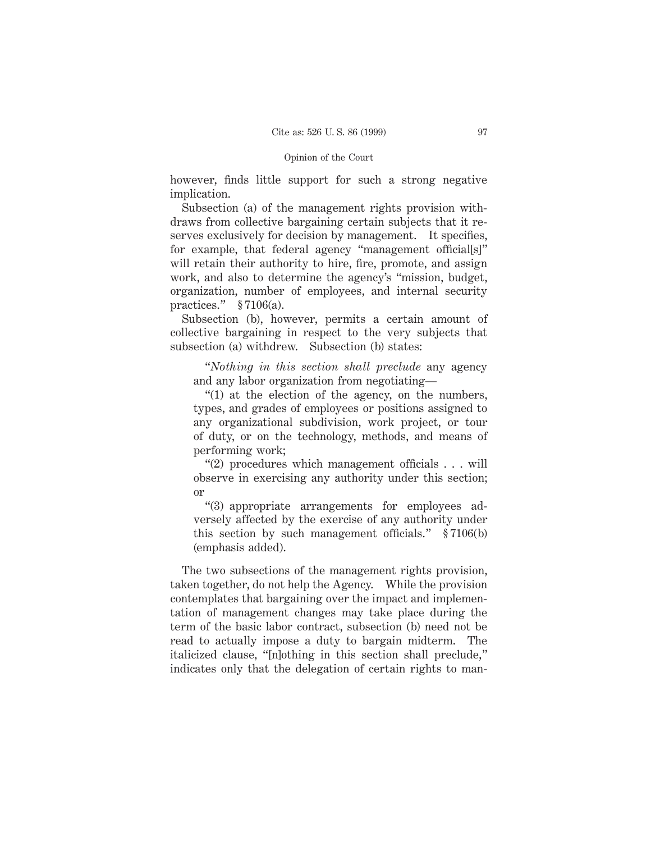however, finds little support for such a strong negative implication.

Subsection (a) of the management rights provision withdraws from collective bargaining certain subjects that it reserves exclusively for decision by management. It specifies, for example, that federal agency "management official[s]" will retain their authority to hire, fire, promote, and assign work, and also to determine the agency's "mission, budget, organization, number of employees, and internal security practices." § 7106(a).

Subsection (b), however, permits a certain amount of collective bargaining in respect to the very subjects that subsection (a) withdrew. Subsection (b) states:

"*Nothing in this section shall preclude* any agency and any labor organization from negotiating—

"(1) at the election of the agency, on the numbers, types, and grades of employees or positions assigned to any organizational subdivision, work project, or tour of duty, or on the technology, methods, and means of performing work;

"(2) procedures which management officials . . . will observe in exercising any authority under this section; or

"(3) appropriate arrangements for employees adversely affected by the exercise of any authority under this section by such management officials." § 7106(b) (emphasis added).

The two subsections of the management rights provision, taken together, do not help the Agency. While the provision contemplates that bargaining over the impact and implementation of management changes may take place during the term of the basic labor contract, subsection (b) need not be read to actually impose a duty to bargain midterm. The italicized clause, "[n]othing in this section shall preclude," indicates only that the delegation of certain rights to man-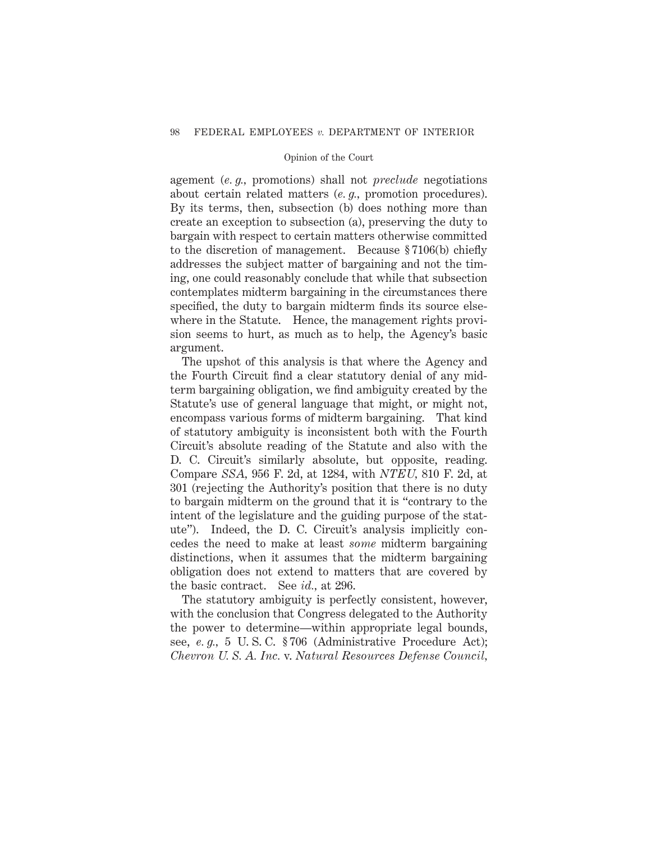agement (*e. g.,* promotions) shall not *preclude* negotiations about certain related matters (*e. g.,* promotion procedures). By its terms, then, subsection (b) does nothing more than create an exception to subsection (a), preserving the duty to bargain with respect to certain matters otherwise committed to the discretion of management. Because § 7106(b) chiefly addresses the subject matter of bargaining and not the timing, one could reasonably conclude that while that subsection contemplates midterm bargaining in the circumstances there specified, the duty to bargain midterm finds its source elsewhere in the Statute. Hence, the management rights provision seems to hurt, as much as to help, the Agency's basic argument.

The upshot of this analysis is that where the Agency and the Fourth Circuit find a clear statutory denial of any midterm bargaining obligation, we find ambiguity created by the Statute's use of general language that might, or might not, encompass various forms of midterm bargaining. That kind of statutory ambiguity is inconsistent both with the Fourth Circuit's absolute reading of the Statute and also with the D. C. Circuit's similarly absolute, but opposite, reading. Compare *SSA,* 956 F. 2d, at 1284, with *NTEU,* 810 F. 2d, at 301 (rejecting the Authority's position that there is no duty to bargain midterm on the ground that it is "contrary to the intent of the legislature and the guiding purpose of the statute"). Indeed, the D. C. Circuit's analysis implicitly concedes the need to make at least *some* midterm bargaining distinctions, when it assumes that the midterm bargaining obligation does not extend to matters that are covered by the basic contract. See *id.,* at 296.

The statutory ambiguity is perfectly consistent, however, with the conclusion that Congress delegated to the Authority the power to determine—within appropriate legal bounds, see, *e. g.,* 5 U. S. C. § 706 (Administrative Procedure Act); *Chevron U. S. A. Inc.* v. *Natural Resources Defense Council,*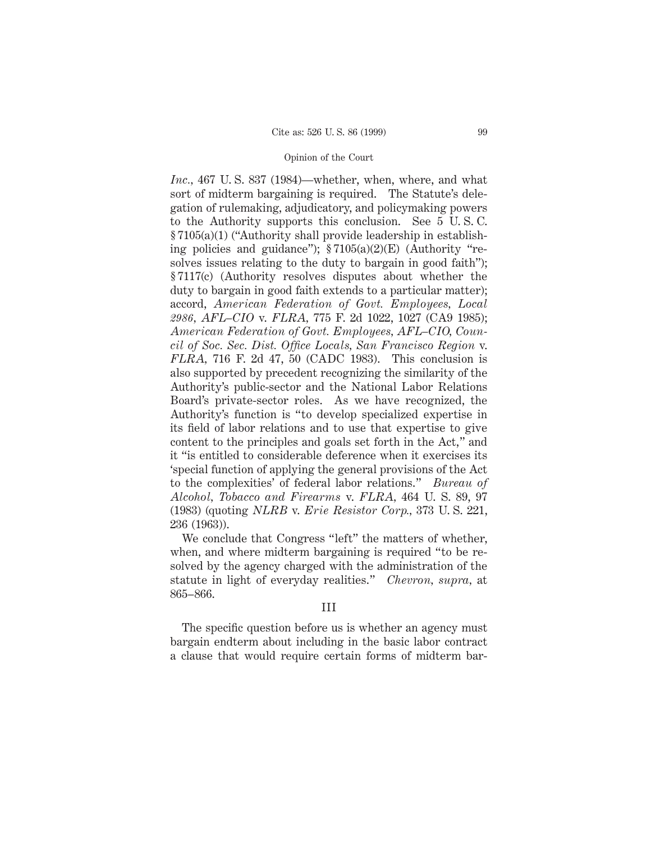*Inc.,* 467 U. S. 837 (1984)*—*whether, when, where, and what sort of midterm bargaining is required. The Statute's delegation of rulemaking, adjudicatory, and policymaking powers to the Authority supports this conclusion. See 5 U. S. C. § 7105(a)(1) ("Authority shall provide leadership in establishing policies and guidance");  $\S 7105(a)(2)(E)$  (Authority "resolves issues relating to the duty to bargain in good faith"); § 7117(c) (Authority resolves disputes about whether the duty to bargain in good faith extends to a particular matter); accord, *American Federation of Govt. Employees, Local 2986, AFL–CIO* v. *FLRA,* 775 F. 2d 1022, 1027 (CA9 1985); *American Federation of Govt. Employees, AFL–CIO, Council of Soc. Sec. Dist. Office Locals, San Francisco Region* v. *FLRA,* 716 F. 2d 47, 50 (CADC 1983). This conclusion is also supported by precedent recognizing the similarity of the Authority's public-sector and the National Labor Relations Board's private-sector roles. As we have recognized, the Authority's function is "to develop specialized expertise in its field of labor relations and to use that expertise to give content to the principles and goals set forth in the Act," and it "is entitled to considerable deference when it exercises its 'special function of applying the general provisions of the Act to the complexities' of federal labor relations." *Bureau of Alcohol, Tobacco and Firearms* v. *FLRA,* 464 U. S. 89, 97 (1983) (quoting *NLRB* v. *Erie Resistor Corp.,* 373 U. S. 221, 236 (1963)).

We conclude that Congress "left" the matters of whether, when, and where midterm bargaining is required "to be resolved by the agency charged with the administration of the statute in light of everyday realities." *Chevron, supra,* at 865–866.

# III

The specific question before us is whether an agency must bargain endterm about including in the basic labor contract a clause that would require certain forms of midterm bar-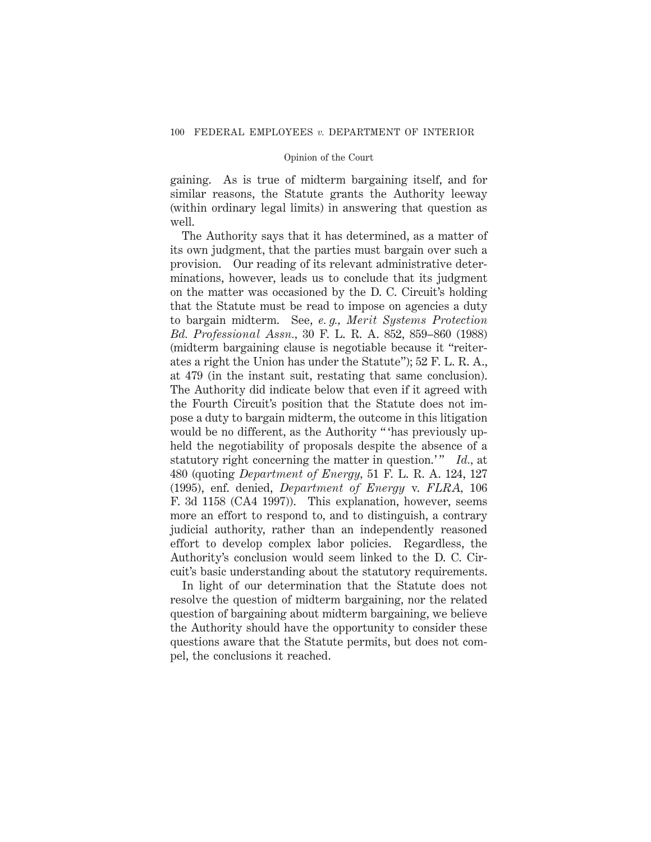gaining. As is true of midterm bargaining itself, and for similar reasons, the Statute grants the Authority leeway (within ordinary legal limits) in answering that question as well.

The Authority says that it has determined, as a matter of its own judgment, that the parties must bargain over such a provision. Our reading of its relevant administrative determinations, however, leads us to conclude that its judgment on the matter was occasioned by the D. C. Circuit's holding that the Statute must be read to impose on agencies a duty to bargain midterm. See, *e. g., Merit Systems Protection Bd. Professional Assn.,* 30 F. L. R. A. 852, 859–860 (1988) (midterm bargaining clause is negotiable because it "reiterates a right the Union has under the Statute"); 52 F. L. R. A., at 479 (in the instant suit, restating that same conclusion). The Authority did indicate below that even if it agreed with the Fourth Circuit's position that the Statute does not impose a duty to bargain midterm, the outcome in this litigation would be no different, as the Authority " 'has previously upheld the negotiability of proposals despite the absence of a statutory right concerning the matter in question.'" *Id.*, at 480 (quoting *Department of Energy,* 51 F. L. R. A. 124, 127 (1995), enf. denied, *Department of Energy* v. *FLRA,* 106 F. 3d 1158 (CA4 1997)). This explanation, however, seems more an effort to respond to, and to distinguish, a contrary judicial authority, rather than an independently reasoned effort to develop complex labor policies. Regardless, the Authority's conclusion would seem linked to the D. C. Circuit's basic understanding about the statutory requirements.

In light of our determination that the Statute does not resolve the question of midterm bargaining, nor the related question of bargaining about midterm bargaining, we believe the Authority should have the opportunity to consider these questions aware that the Statute permits, but does not compel, the conclusions it reached.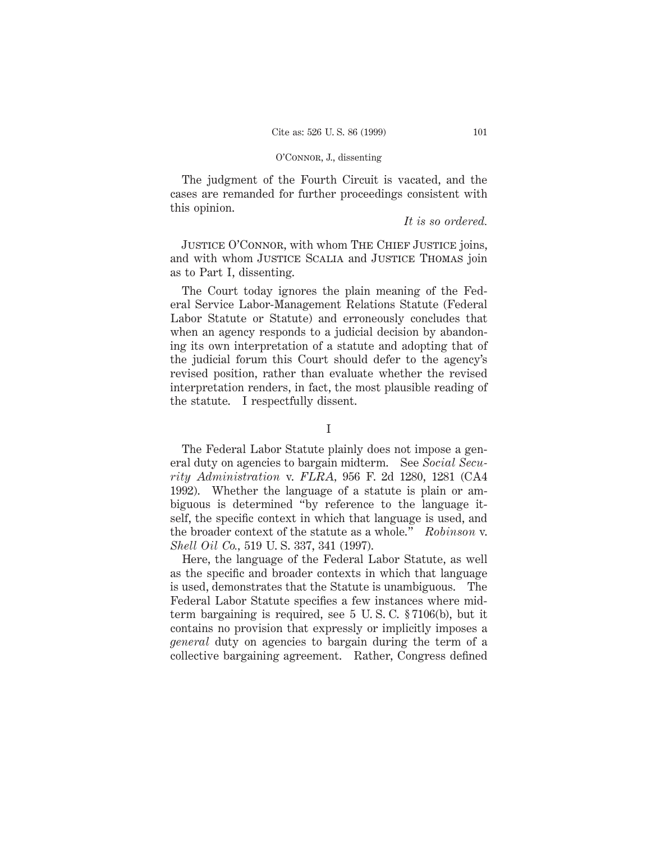The judgment of the Fourth Circuit is vacated, and the cases are remanded for further proceedings consistent with this opinion.

### *It is so ordered.*

JUSTICE O'CONNOR, with whom THE CHIEF JUSTICE joins, and with whom Justice Scalia and Justice Thomas join as to Part I, dissenting.

The Court today ignores the plain meaning of the Federal Service Labor-Management Relations Statute (Federal Labor Statute or Statute) and erroneously concludes that when an agency responds to a judicial decision by abandoning its own interpretation of a statute and adopting that of the judicial forum this Court should defer to the agency's revised position, rather than evaluate whether the revised interpretation renders, in fact, the most plausible reading of the statute. I respectfully dissent.

# I

The Federal Labor Statute plainly does not impose a general duty on agencies to bargain midterm. See *Social Security Administration* v. *FLRA,* 956 F. 2d 1280, 1281 (CA4 1992). Whether the language of a statute is plain or ambiguous is determined "by reference to the language itself, the specific context in which that language is used, and the broader context of the statute as a whole." *Robinson* v. *Shell Oil Co.,* 519 U. S. 337, 341 (1997).

Here, the language of the Federal Labor Statute, as well as the specific and broader contexts in which that language is used, demonstrates that the Statute is unambiguous. The Federal Labor Statute specifies a few instances where midterm bargaining is required, see 5 U. S. C. § 7106(b), but it contains no provision that expressly or implicitly imposes a *general* duty on agencies to bargain during the term of a collective bargaining agreement. Rather, Congress defined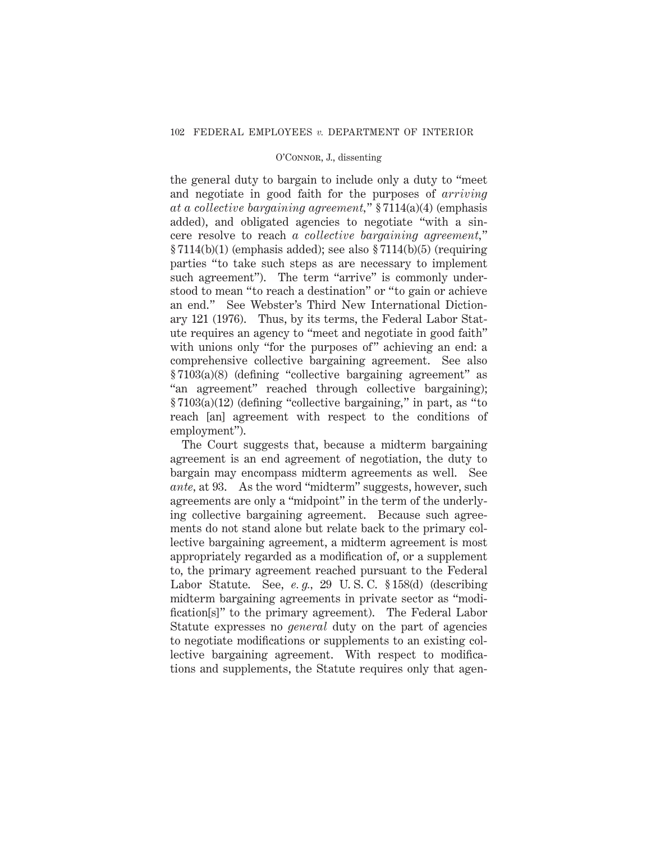the general duty to bargain to include only a duty to "meet and negotiate in good faith for the purposes of *arriving at a collective bargaining agreement,*" § 7114(a)(4) (emphasis added), and obligated agencies to negotiate "with a sincere resolve to reach *a collective bargaining agreement,*"  $\S 7114(b)(1)$  (emphasis added); see also  $\S 7114(b)(5)$  (requiring parties "to take such steps as are necessary to implement such agreement"). The term "arrive" is commonly understood to mean "to reach a destination" or "to gain or achieve an end." See Webster's Third New International Dictionary 121 (1976). Thus, by its terms, the Federal Labor Statute requires an agency to "meet and negotiate in good faith" with unions only "for the purposes of" achieving an end: a comprehensive collective bargaining agreement. See also § 7103(a)(8) (defining "collective bargaining agreement" as "an agreement" reached through collective bargaining); § 7103(a)(12) (defining "collective bargaining," in part, as "to reach [an] agreement with respect to the conditions of employment").

The Court suggests that, because a midterm bargaining agreement is an end agreement of negotiation, the duty to bargain may encompass midterm agreements as well. See *ante,* at 93. As the word "midterm" suggests, however, such agreements are only a "midpoint" in the term of the underlying collective bargaining agreement. Because such agreements do not stand alone but relate back to the primary collective bargaining agreement, a midterm agreement is most appropriately regarded as a modification of, or a supplement to, the primary agreement reached pursuant to the Federal Labor Statute. See, *e. g.,* 29 U. S. C. § 158(d) (describing midterm bargaining agreements in private sector as "modification[s]" to the primary agreement). The Federal Labor Statute expresses no *general* duty on the part of agencies to negotiate modifications or supplements to an existing collective bargaining agreement. With respect to modifications and supplements, the Statute requires only that agen-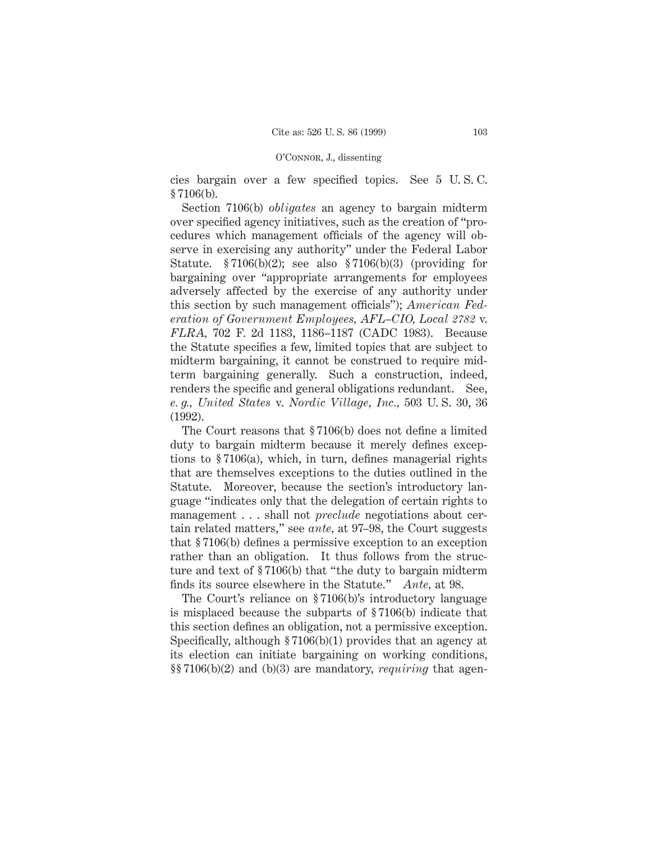cies bargain over a few specified topics. See 5 U. S. C. § 7106(b).

Section 7106(b) *obligates* an agency to bargain midterm over specified agency initiatives, such as the creation of "procedures which management officials of the agency will observe in exercising any authority" under the Federal Labor Statute. § 7106(b)(2); see also § 7106(b)(3) (providing for bargaining over "appropriate arrangements for employees adversely affected by the exercise of any authority under this section by such management officials"); *American Federation of Government Employees, AFL–CIO, Local 2782* v. *FLRA,* 702 F. 2d 1183, 1186–1187 (CADC 1983). Because the Statute specifies a few, limited topics that are subject to midterm bargaining, it cannot be construed to require midterm bargaining generally. Such a construction, indeed, renders the specific and general obligations redundant. See, *e. g., United States* v. *Nordic Village, Inc.,* 503 U. S. 30, 36 (1992).

The Court reasons that § 7106(b) does not define a limited duty to bargain midterm because it merely defines exceptions to § 7106(a), which, in turn, defines managerial rights that are themselves exceptions to the duties outlined in the Statute. Moreover, because the section's introductory language "indicates only that the delegation of certain rights to management . . . shall not *preclude* negotiations about certain related matters," see *ante,* at 97–98, the Court suggests that § 7106(b) defines a permissive exception to an exception rather than an obligation. It thus follows from the structure and text of § 7106(b) that "the duty to bargain midterm finds its source elsewhere in the Statute." *Ante,* at 98.

The Court's reliance on § 7106(b)'s introductory language is misplaced because the subparts of § 7106(b) indicate that this section defines an obligation, not a permissive exception. Specifically, although § 7106(b)(1) provides that an agency at its election can initiate bargaining on working conditions, §§ 7106(b)(2) and (b)(3) are mandatory, *requiring* that agen-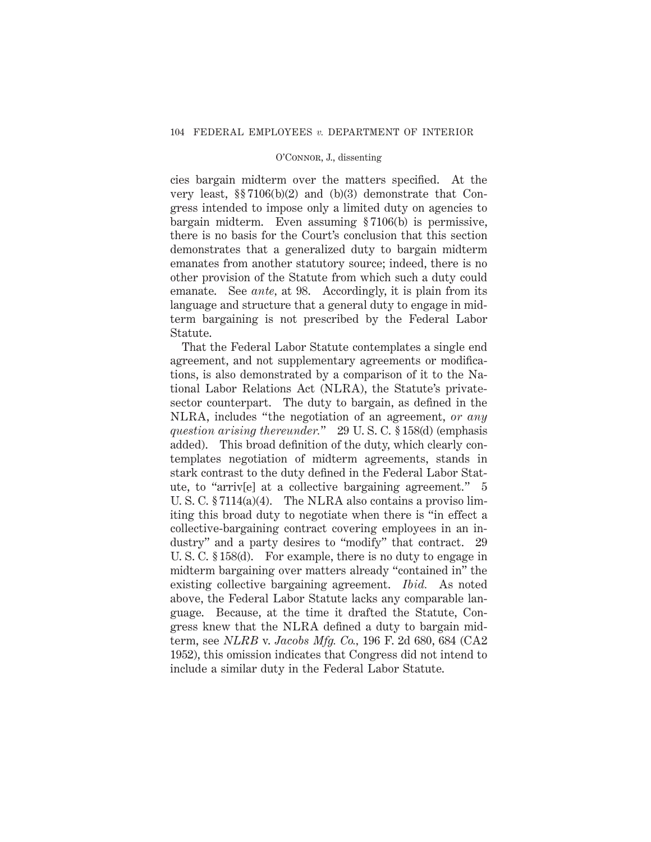cies bargain midterm over the matters specified. At the very least, §§ 7106(b)(2) and (b)(3) demonstrate that Congress intended to impose only a limited duty on agencies to bargain midterm. Even assuming § 7106(b) is permissive, there is no basis for the Court's conclusion that this section demonstrates that a generalized duty to bargain midterm emanates from another statutory source; indeed, there is no other provision of the Statute from which such a duty could emanate. See *ante,* at 98. Accordingly, it is plain from its language and structure that a general duty to engage in midterm bargaining is not prescribed by the Federal Labor Statute.

That the Federal Labor Statute contemplates a single end agreement, and not supplementary agreements or modifications, is also demonstrated by a comparison of it to the National Labor Relations Act (NLRA), the Statute's privatesector counterpart. The duty to bargain, as defined in the NLRA, includes "the negotiation of an agreement, *or any question arising thereunder.*" 29 U. S. C. § 158(d) (emphasis added). This broad definition of the duty, which clearly contemplates negotiation of midterm agreements, stands in stark contrast to the duty defined in the Federal Labor Statute, to "arriv[e] at a collective bargaining agreement." 5 U. S. C. § 7114(a)(4). The NLRA also contains a proviso limiting this broad duty to negotiate when there is "in effect a collective-bargaining contract covering employees in an industry" and a party desires to "modify" that contract. 29 U. S. C. § 158(d). For example, there is no duty to engage in midterm bargaining over matters already "contained in" the existing collective bargaining agreement. *Ibid.* As noted above, the Federal Labor Statute lacks any comparable language. Because, at the time it drafted the Statute, Congress knew that the NLRA defined a duty to bargain midterm, see *NLRB* v. *Jacobs Mfg. Co.,* 196 F. 2d 680, 684 (CA2 1952), this omission indicates that Congress did not intend to include a similar duty in the Federal Labor Statute.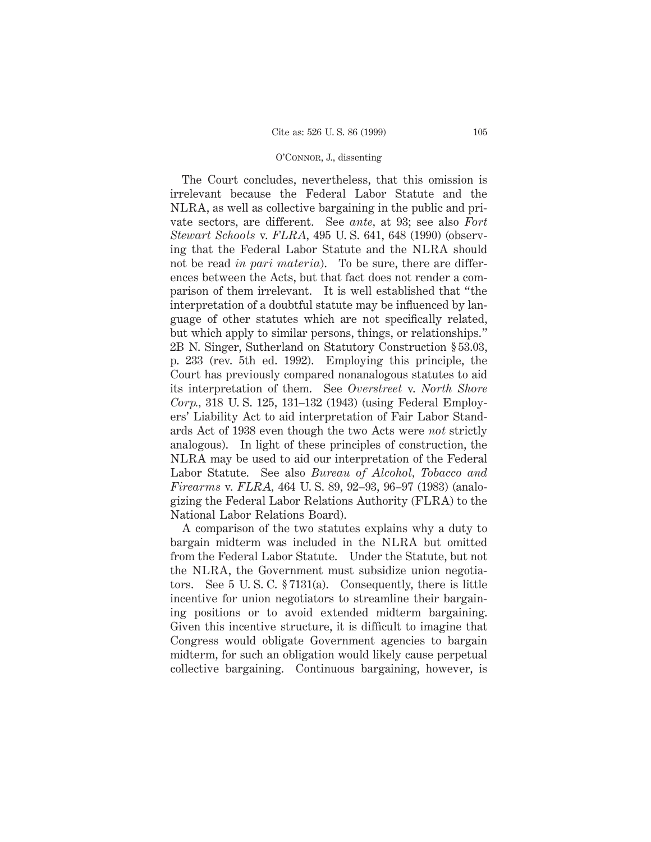The Court concludes, nevertheless, that this omission is irrelevant because the Federal Labor Statute and the NLRA, as well as collective bargaining in the public and private sectors, are different. See *ante,* at 93; see also *Fort Stewart Schools* v. *FLRA,* 495 U. S. 641, 648 (1990) (observing that the Federal Labor Statute and the NLRA should not be read *in pari materia*). To be sure, there are differences between the Acts, but that fact does not render a comparison of them irrelevant. It is well established that "the interpretation of a doubtful statute may be influenced by language of other statutes which are not specifically related, but which apply to similar persons, things, or relationships." 2B N. Singer, Sutherland on Statutory Construction § 53.03, p. 233 (rev. 5th ed. 1992). Employing this principle, the Court has previously compared nonanalogous statutes to aid its interpretation of them. See *Overstreet* v. *North Shore Corp.,* 318 U. S. 125, 131–132 (1943) (using Federal Employers' Liability Act to aid interpretation of Fair Labor Standards Act of 1938 even though the two Acts were *not* strictly analogous). In light of these principles of construction, the NLRA may be used to aid our interpretation of the Federal Labor Statute. See also *Bureau of Alcohol, Tobacco and Firearms* v. *FLRA,* 464 U. S. 89, 92–93, 96–97 (1983) (analogizing the Federal Labor Relations Authority (FLRA) to the National Labor Relations Board).

A comparison of the two statutes explains why a duty to bargain midterm was included in the NLRA but omitted from the Federal Labor Statute. Under the Statute, but not the NLRA, the Government must subsidize union negotiators. See 5 U. S. C. § 7131(a). Consequently, there is little incentive for union negotiators to streamline their bargaining positions or to avoid extended midterm bargaining. Given this incentive structure, it is difficult to imagine that Congress would obligate Government agencies to bargain midterm, for such an obligation would likely cause perpetual collective bargaining. Continuous bargaining, however, is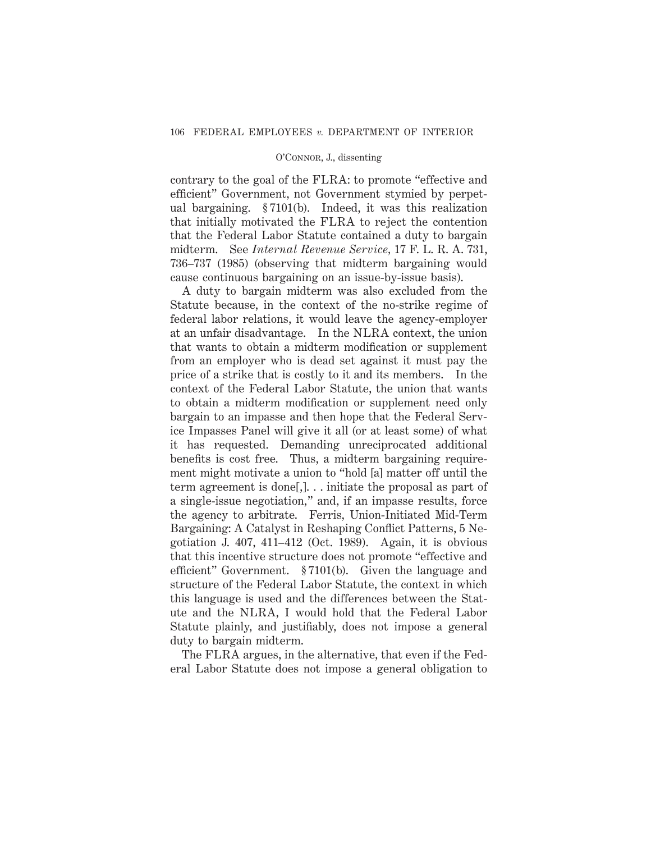contrary to the goal of the FLRA: to promote "effective and efficient" Government, not Government stymied by perpetual bargaining. § 7101(b). Indeed, it was this realization that initially motivated the FLRA to reject the contention that the Federal Labor Statute contained a duty to bargain midterm. See *Internal Revenue Service,* 17 F. L. R. A. 731, 736–737 (1985) (observing that midterm bargaining would cause continuous bargaining on an issue-by-issue basis).

A duty to bargain midterm was also excluded from the Statute because, in the context of the no-strike regime of federal labor relations, it would leave the agency-employer at an unfair disadvantage. In the NLRA context, the union that wants to obtain a midterm modification or supplement from an employer who is dead set against it must pay the price of a strike that is costly to it and its members. In the context of the Federal Labor Statute, the union that wants to obtain a midterm modification or supplement need only bargain to an impasse and then hope that the Federal Service Impasses Panel will give it all (or at least some) of what it has requested. Demanding unreciprocated additional benefits is cost free. Thus, a midterm bargaining requirement might motivate a union to "hold [a] matter off until the term agreement is done[,]. . . initiate the proposal as part of a single-issue negotiation," and, if an impasse results, force the agency to arbitrate. Ferris, Union-Initiated Mid-Term Bargaining: A Catalyst in Reshaping Conflict Patterns, 5 Negotiation J. 407, 411–412 (Oct. 1989). Again, it is obvious that this incentive structure does not promote "effective and efficient" Government. § 7101(b). Given the language and structure of the Federal Labor Statute, the context in which this language is used and the differences between the Statute and the NLRA, I would hold that the Federal Labor Statute plainly, and justifiably, does not impose a general duty to bargain midterm.

The FLRA argues, in the alternative, that even if the Federal Labor Statute does not impose a general obligation to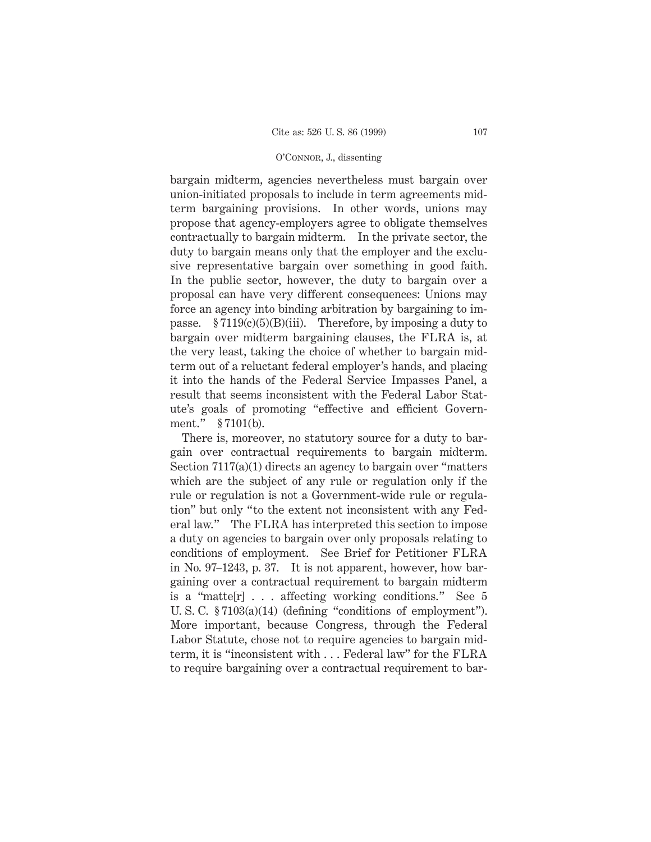bargain midterm, agencies nevertheless must bargain over union-initiated proposals to include in term agreements midterm bargaining provisions. In other words, unions may propose that agency-employers agree to obligate themselves contractually to bargain midterm. In the private sector, the duty to bargain means only that the employer and the exclusive representative bargain over something in good faith. In the public sector, however, the duty to bargain over a proposal can have very different consequences: Unions may force an agency into binding arbitration by bargaining to impasse.  $\S 7119(c)(5)(B)(iii)$ . Therefore, by imposing a duty to bargain over midterm bargaining clauses, the FLRA is, at the very least, taking the choice of whether to bargain midterm out of a reluctant federal employer's hands, and placing it into the hands of the Federal Service Impasses Panel, a result that seems inconsistent with the Federal Labor Statute's goals of promoting "effective and efficient Government." § 7101(b).

There is, moreover, no statutory source for a duty to bargain over contractual requirements to bargain midterm. Section 7117(a)(1) directs an agency to bargain over "matters which are the subject of any rule or regulation only if the rule or regulation is not a Government-wide rule or regulation" but only "to the extent not inconsistent with any Federal law." The FLRA has interpreted this section to impose a duty on agencies to bargain over only proposals relating to conditions of employment. See Brief for Petitioner FLRA in No. 97–1243, p. 37. It is not apparent, however, how bargaining over a contractual requirement to bargain midterm is a "matte[r]... affecting working conditions." See 5 U. S. C. § 7103(a)(14) (defining "conditions of employment"). More important, because Congress, through the Federal Labor Statute, chose not to require agencies to bargain midterm, it is "inconsistent with . . . Federal law" for the FLRA to require bargaining over a contractual requirement to bar-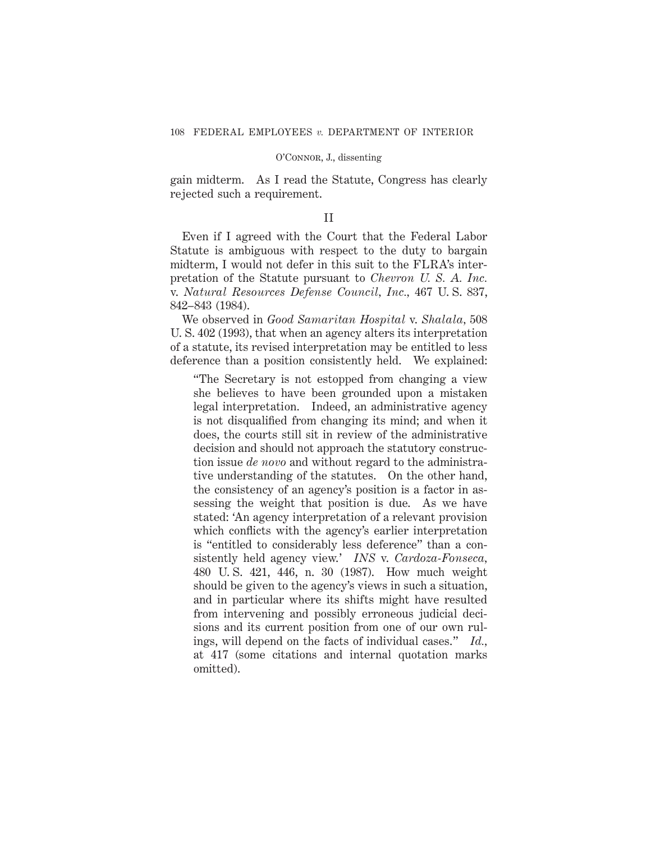gain midterm. As I read the Statute, Congress has clearly rejected such a requirement.

# II

Even if I agreed with the Court that the Federal Labor Statute is ambiguous with respect to the duty to bargain midterm, I would not defer in this suit to the FLRA's interpretation of the Statute pursuant to *Chevron U. S. A. Inc.* v. *Natural Resources Defense Council, Inc.,* 467 U. S. 837, 842–843 (1984).

We observed in *Good Samaritan Hospital* v. *Shalala,* 508 U. S. 402 (1993), that when an agency alters its interpretation of a statute, its revised interpretation may be entitled to less deference than a position consistently held. We explained:

"The Secretary is not estopped from changing a view she believes to have been grounded upon a mistaken legal interpretation. Indeed, an administrative agency is not disqualified from changing its mind; and when it does, the courts still sit in review of the administrative decision and should not approach the statutory construction issue *de novo* and without regard to the administrative understanding of the statutes. On the other hand, the consistency of an agency's position is a factor in assessing the weight that position is due. As we have stated: 'An agency interpretation of a relevant provision which conflicts with the agency's earlier interpretation is "entitled to considerably less deference" than a consistently held agency view.' *INS* v. *Cardoza-Fonseca,* 480 U. S. 421, 446, n. 30 (1987). How much weight should be given to the agency's views in such a situation, and in particular where its shifts might have resulted from intervening and possibly erroneous judicial decisions and its current position from one of our own rulings, will depend on the facts of individual cases." *Id.,* at 417 (some citations and internal quotation marks omitted).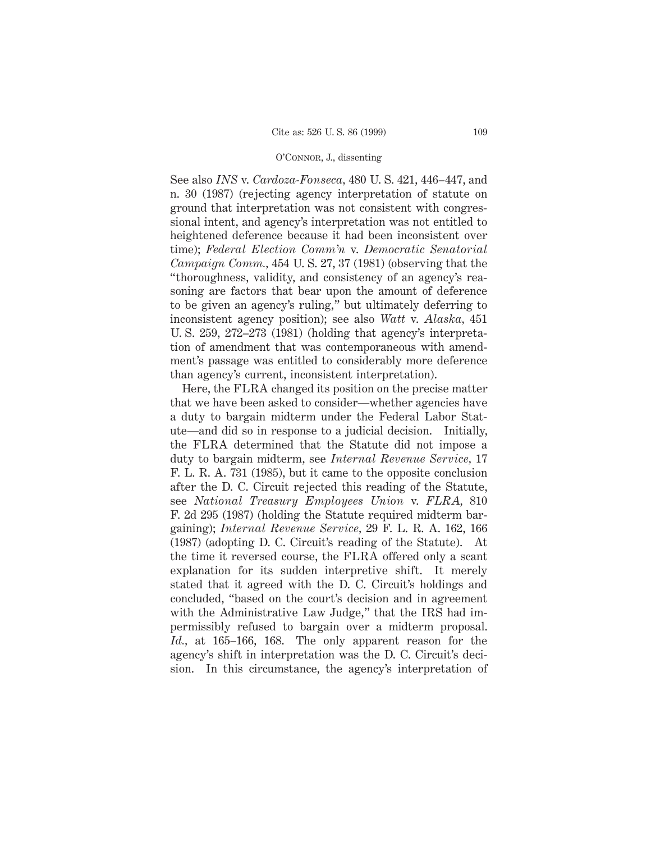See also *INS* v. *Cardoza-Fonseca,* 480 U. S. 421, 446–447, and n. 30 (1987) (rejecting agency interpretation of statute on ground that interpretation was not consistent with congressional intent, and agency's interpretation was not entitled to heightened deference because it had been inconsistent over time); *Federal Election Comm'n* v. *Democratic Senatorial Campaign Comm.,* 454 U. S. 27, 37 (1981) (observing that the "thoroughness, validity, and consistency of an agency's reasoning are factors that bear upon the amount of deference to be given an agency's ruling," but ultimately deferring to inconsistent agency position); see also *Watt* v. *Alaska,* 451 U. S. 259, 272–273 (1981) (holding that agency's interpretation of amendment that was contemporaneous with amendment's passage was entitled to considerably more deference than agency's current, inconsistent interpretation).

Here, the FLRA changed its position on the precise matter that we have been asked to consider—whether agencies have a duty to bargain midterm under the Federal Labor Statute—and did so in response to a judicial decision. Initially, the FLRA determined that the Statute did not impose a duty to bargain midterm, see *Internal Revenue Service,* 17 F. L. R. A. 731 (1985), but it came to the opposite conclusion after the D. C. Circuit rejected this reading of the Statute, see *National Treasury Employees Union* v. *FLRA,* 810 F. 2d 295 (1987) (holding the Statute required midterm bargaining); *Internal Revenue Service,* 29 F. L. R. A. 162, 166 (1987) (adopting D. C. Circuit's reading of the Statute). At the time it reversed course, the FLRA offered only a scant explanation for its sudden interpretive shift. It merely stated that it agreed with the D. C. Circuit's holdings and concluded, "based on the court's decision and in agreement with the Administrative Law Judge," that the IRS had impermissibly refused to bargain over a midterm proposal. *Id.,* at 165–166, 168. The only apparent reason for the agency's shift in interpretation was the D. C. Circuit's decision. In this circumstance, the agency's interpretation of